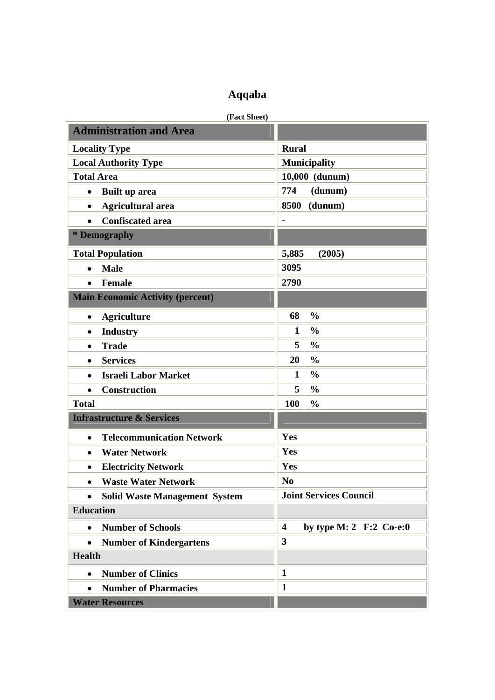## **Aqqaba**

**(Fact Sheet)** 

| <b>Administration and Area</b>                |                                                      |
|-----------------------------------------------|------------------------------------------------------|
| <b>Locality Type</b>                          | <b>Rural</b>                                         |
| <b>Local Authority Type</b>                   | <b>Municipality</b>                                  |
| <b>Total Area</b>                             | 10,000 (dunum)                                       |
| Built up area<br>$\bullet$                    | 774<br>(dunum)                                       |
| <b>Agricultural area</b><br>$\bullet$         | 8500<br>(dunum)                                      |
| <b>Confiscated area</b><br>$\bullet$          |                                                      |
| * Demography                                  |                                                      |
| <b>Total Population</b>                       | 5,885<br>(2005)                                      |
| <b>Male</b><br>$\bullet$                      | 3095                                                 |
| <b>Female</b><br>$\bullet$                    | 2790                                                 |
| <b>Main Economic Activity (percent)</b>       |                                                      |
| <b>Agriculture</b><br>$\bullet$               | 68<br>$\frac{0}{0}$                                  |
| <b>Industry</b><br>$\bullet$                  | $\frac{0}{0}$<br>1                                   |
| <b>Trade</b><br>$\bullet$                     | 5<br>$\frac{0}{0}$                                   |
| <b>Services</b><br>$\bullet$                  | $\frac{0}{0}$<br>20                                  |
| <b>Israeli Labor Market</b><br>$\bullet$      | $\frac{0}{0}$<br>$\mathbf{1}$                        |
| <b>Construction</b><br>$\bullet$              | 5<br>$\frac{0}{0}$                                   |
| <b>Total</b>                                  | 100<br>$\frac{0}{0}$                                 |
| <b>Infrastructure &amp; Services</b>          |                                                      |
| <b>Telecommunication Network</b><br>$\bullet$ | Yes                                                  |
| <b>Water Network</b><br>$\bullet$             | Yes                                                  |
| <b>Electricity Network</b><br>$\bullet$       | Yes                                                  |
| <b>Waste Water Network</b><br>٠               | N <sub>0</sub>                                       |
| <b>Solid Waste Management System</b>          | <b>Joint Services Council</b>                        |
| <b>Education</b>                              |                                                      |
| <b>Number of Schools</b><br>$\bullet$         | by type M: 2 $F:2$ Co-e:0<br>$\overline{\mathbf{4}}$ |
| <b>Number of Kindergartens</b><br>$\bullet$   | $\overline{\mathbf{3}}$                              |
| <b>Health</b>                                 |                                                      |
| <b>Number of Clinics</b><br>$\bullet$         | $\mathbf{1}$                                         |
| <b>Number of Pharmacies</b><br>$\bullet$      | $\mathbf{1}$                                         |
| <b>Water Resources</b>                        |                                                      |